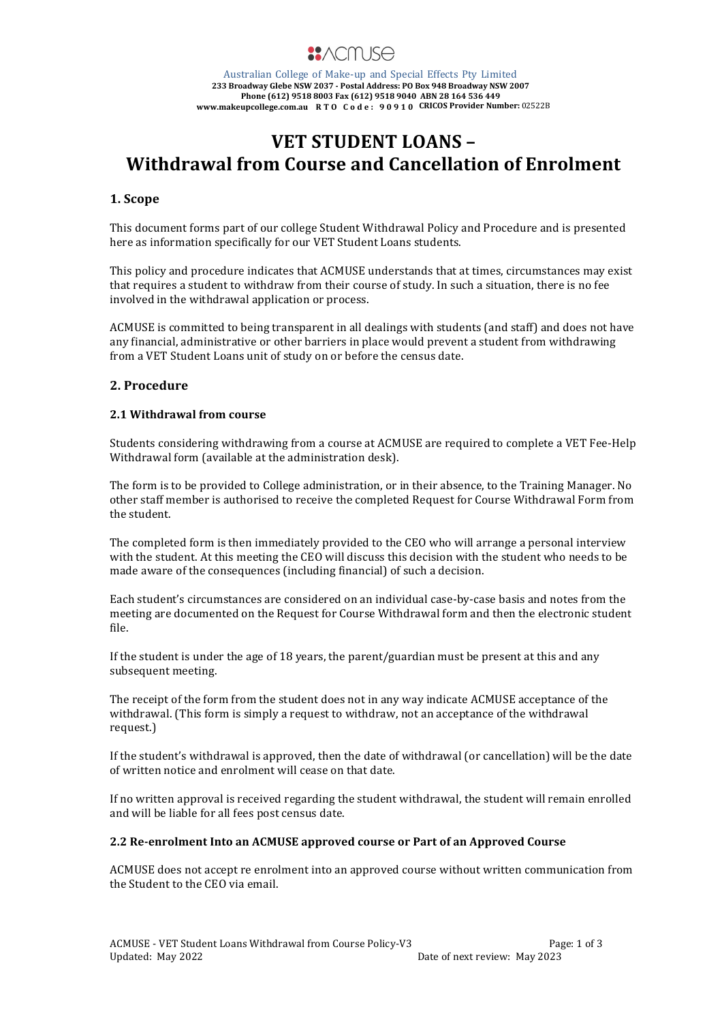

Australian College of Make-up and Special Effects Pty Limited **233 Broadway Glebe NSW 2037 - Postal Address: PO Box 948 Broadway NSW 2007 Phone (612) 9518 8003 Fax (612) 9518 9040 ABN 28 164 536 449 www.makeupcollege.com.au** RTO Code:  $90910$  CRICOS Provider Number: 02522B

# **VET STUDENT LOANS -Withdrawal from Course and Cancellation of Enrolment**

## **1. Scope**

This document forms part of our college Student Withdrawal Policy and Procedure and is presented here as information specifically for our VET Student Loans students.

This policy and procedure indicates that ACMUSE understands that at times, circumstances may exist that requires a student to withdraw from their course of study. In such a situation, there is no fee involved in the withdrawal application or process.

ACMUSE is committed to being transparent in all dealings with students (and staff) and does not have any financial, administrative or other barriers in place would prevent a student from withdrawing from a VET Student Loans unit of study on or before the census date.

## **2. Procedure**

## **2.1 Withdrawal from course**

Students considering withdrawing from a course at ACMUSE are required to complete a VET Fee-Help Withdrawal form (available at the administration desk).

The form is to be provided to College administration, or in their absence, to the Training Manager. No other staff member is authorised to receive the completed Request for Course Withdrawal Form from the student.

The completed form is then immediately provided to the CEO who will arrange a personal interview with the student. At this meeting the CEO will discuss this decision with the student who needs to be made aware of the consequences (including financial) of such a decision.

Each student's circumstances are considered on an individual case-by-case basis and notes from the meeting are documented on the Request for Course Withdrawal form and then the electronic student file.

If the student is under the age of 18 years, the parent/guardian must be present at this and any subsequent meeting.

The receipt of the form from the student does not in any way indicate ACMUSE acceptance of the withdrawal. (This form is simply a request to withdraw, not an acceptance of the withdrawal request.)

If the student's withdrawal is approved, then the date of withdrawal (or cancellation) will be the date of written notice and enrolment will cease on that date.

If no written approval is received regarding the student withdrawal, the student will remain enrolled and will be liable for all fees post census date.

#### **2.2** Re-enrolment Into an ACMUSE approved course or Part of an Approved Course

ACMUSE does not accept re enrolment into an approved course without written communication from the Student to the CEO via email.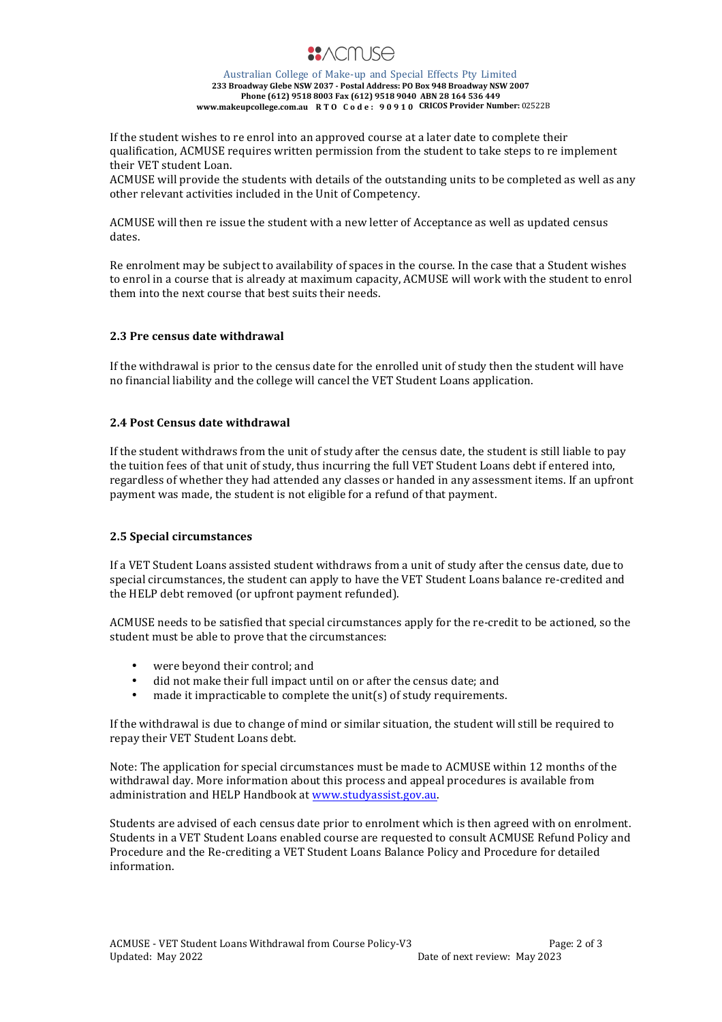

Australian College of Make-up and Special Effects Pty Limited **233 Broadway Glebe NSW 2037 - Postal Address: PO Box 948 Broadway NSW 2007 Phone (612) 9518 8003 Fax (612) 9518 9040 ABN 28 164 536 449 www.makeupcollege.com.au RTO Code: 90910 CRICOS Provider Number:** 02522B

If the student wishes to re enrol into an approved course at a later date to complete their qualification, ACMUSE requires written permission from the student to take steps to re implement their VET student Loan.

ACMUSE will provide the students with details of the outstanding units to be completed as well as any other relevant activities included in the Unit of Competency.

ACMUSE will then re issue the student with a new letter of Acceptance as well as updated census dates.

Re enrolment may be subject to availability of spaces in the course. In the case that a Student wishes to enrol in a course that is already at maximum capacity, ACMUSE will work with the student to enrol them into the next course that best suits their needs.

#### **2.3 Pre census date withdrawal**

If the withdrawal is prior to the census date for the enrolled unit of study then the student will have no financial liability and the college will cancel the VET Student Loans application.

#### **2.4 Post Census date withdrawal**

If the student withdraws from the unit of study after the census date, the student is still liable to pay the tuition fees of that unit of study, thus incurring the full VET Student Loans debt if entered into, regardless of whether they had attended any classes or handed in any assessment items. If an upfront payment was made, the student is not eligible for a refund of that payment.

#### **2.5 Special circumstances**

If a VET Student Loans assisted student withdraws from a unit of study after the census date, due to special circumstances, the student can apply to have the VET Student Loans balance re-credited and the HELP debt removed (or upfront payment refunded).

ACMUSE needs to be satisfied that special circumstances apply for the re-credit to be actioned, so the student must be able to prove that the circumstances:

- were beyond their control; and
- did not make their full impact until on or after the census date; and
- made it impracticable to complete the  $unit(s)$  of study requirements.

If the withdrawal is due to change of mind or similar situation, the student will still be required to repay their VET Student Loans debt.

Note: The application for special circumstances must be made to ACMUSE within 12 months of the withdrawal day. More information about this process and appeal procedures is available from administration and HELP Handbook at www.studyassist.gov.au.

Students are advised of each census date prior to enrolment which is then agreed with on enrolment. Students in a VET Student Loans enabled course are requested to consult ACMUSE Refund Policy and Procedure and the Re-crediting a VET Student Loans Balance Policy and Procedure for detailed information.